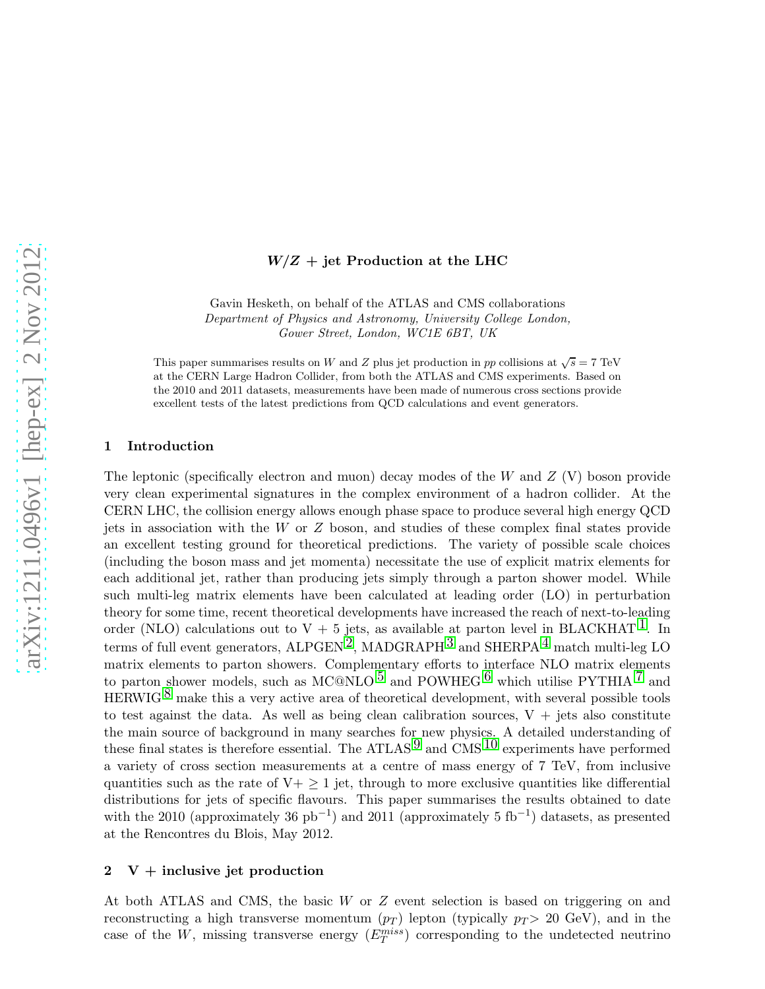# $W/Z + \text{jet Production at the LHC}$

Gavin Hesketh, on behalf of the ATLAS and CMS collaborations Department of Physics and Astronomy, University College London, Gower Street, London, WC1E 6BT, UK

This paper summarises results on W and Z plus jet production in pp collisions at  $\sqrt{s} = 7$  TeV at the CERN Large Hadron Collider, from both the ATLAS and CMS experiments. Based on the 2010 and 2011 datasets, measurements have been made of numerous cross sections provide excellent tests of the latest predictions from QCD calculations and event generators.

### 1 Introduction

The leptonic (specifically electron and muon) decay modes of the  $W$  and  $Z$  (V) boson provide very clean experimental signatures in the complex environment of a hadron collider. At the CERN LHC, the collision energy allows enough phase space to produce several high energy QCD jets in association with the W or Z boson, and studies of these complex final states provide an excellent testing ground for theoretical predictions. The variety of possible scale choices (including the boson mass and jet momenta) necessitate the use of explicit matrix elements for each additional jet, rather than producing jets simply through a parton shower model. While such multi-leg matrix elements have been calculated at leading order (LO) in perturbation theory for some time, recent theoretical developments have increased the reach of next-to-leading order (NLO) calculations out to  $V + 5$  jets, as available at parton level in BLACKHAT  $\perp$ . In terms of full event generators, ALPGEN<sup>2</sup>, MADGRAPH<sup>[3](#page-3-2)</sup> and SHERPA<sup>[4](#page-3-3)</sup> match multi-leg LO matrix elements to parton showers. Complementary efforts to interface NLO matrix elements to parton shower models, such as MC@NLO  $^5$  $^5$  and POWHEG  $^6$  $^6$  which utilise PYTHIA  $^7$  $^7$  and HERWIG  $8$  make this a very active area of theoretical development, with several possible tools to test against the data. As well as being clean calibration sources,  $V + jets$  also constitute the main source of background in many searches for new physics. A detailed understanding of these final states is therefore essential. The ATLAS<sup>[9](#page-3-8)</sup> and CMS<sup>[10](#page-3-9)</sup> experiments have performed a variety of cross section measurements at a centre of mass energy of 7 TeV, from inclusive quantities such as the rate of  $V<sub>+</sub> \ge 1$  jet, through to more exclusive quantities like differential distributions for jets of specific flavours. This paper summarises the results obtained to date with the 2010 (approximately 36 pb<sup>-1</sup>) and 2011 (approximately 5 fb<sup>-1</sup>) datasets, as presented at the Rencontres du Blois, May 2012.

### $2 \quad V +$  inclusive jet production

At both ATLAS and CMS, the basic W or Z event selection is based on triggering on and reconstructing a high transverse momentum  $(p_T)$  lepton (typically  $p_T > 20$  GeV), and in the case of the W, missing transverse energy  $(E_T^{miss})$  corresponding to the undetected neutrino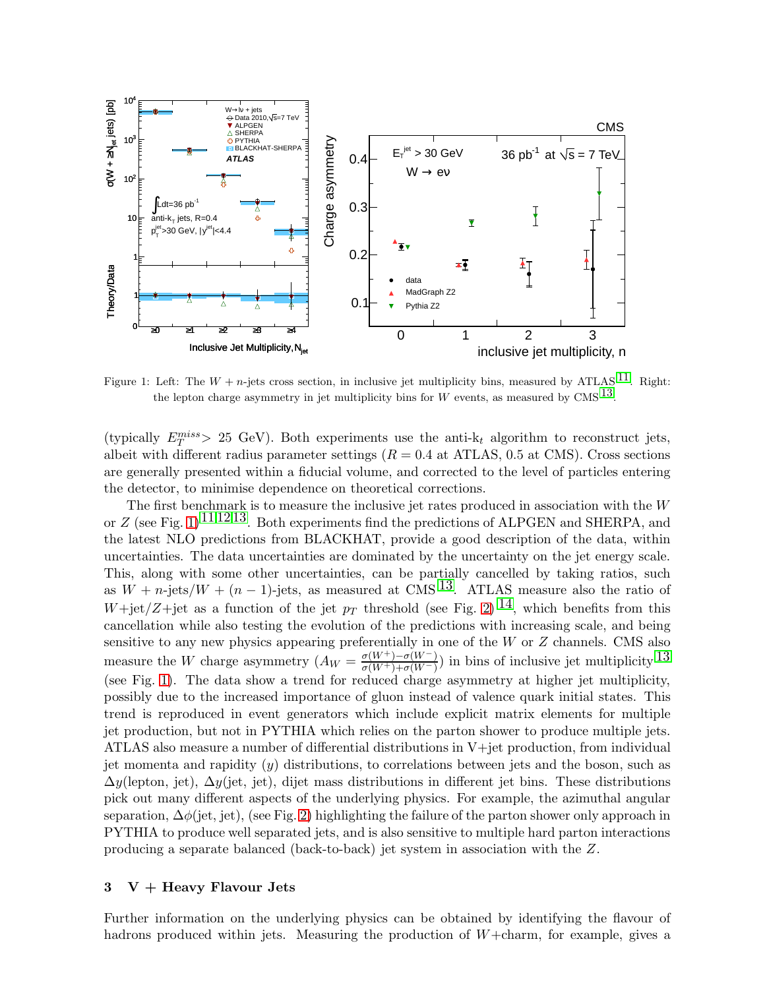

<span id="page-1-0"></span>Figure 1: Left: The  $W + n$ -jets cross section, in inclusive jet multiplicity bins, measured by ATLAS  $^{11}$ . Right: the lepton charge asymmetry in jet multiplicity bins for W events, as measured by CMS  $^{13}$  $^{13}$  $^{13}$ .

(typically  $E_T^{miss} > 25$  GeV). Both experiments use the anti- $k_t$  algorithm to reconstruct jets, albeit with different radius parameter settings  $(R = 0.4$  at ATLAS, 0.5 at CMS). Cross sections are generally presented within a fiducial volume, and corrected to the level of particles entering the detector, to minimise dependence on theoretical corrections.

The first benchmark is to measure the inclusive jet rates produced in association with the W or Z (see Fig. [1\)](#page-1-0)<sup>[11](#page-3-10) [12](#page-3-12) 13</sup>. Both experiments find the predictions of ALPGEN and SHERPA, and the latest NLO predictions from BLACKHAT, provide a good description of the data, within uncertainties. The data uncertainties are dominated by the uncertainty on the jet energy scale. This, along with some other uncertainties, can be partially cancelled by taking ratios, such as  $W + n$ -jets/ $W + (n - 1)$ -jets, as measured at CMS <sup>13</sup>. ATLAS measure also the ratio of W+jet/Z+jet as a function of the jet  $p_T$  threshold (see Fig. [2\)](#page-2-0) <sup>14</sup>, which benefits from this cancellation while also testing the evolution of the predictions with increasing scale, and being sensitive to any new physics appearing preferentially in one of the  $W$  or  $Z$  channels. CMS also measure the W charge asymmetry  $(A_W = \frac{\sigma(W^+) - \sigma(W^-)}{\sigma(W^+) + \sigma(W^-)}$  $\frac{\sigma(W^+)-\sigma(W^-)}{\sigma(W^+)+\sigma(W^-)}$ ) in bins of inclusive jet multiplicity  $13$ (see Fig. [1\)](#page-1-0). The data show a trend for reduced charge asymmetry at higher jet multiplicity, possibly due to the increased importance of gluon instead of valence quark initial states. This trend is reproduced in event generators which include explicit matrix elements for multiple jet production, but not in PYTHIA which relies on the parton shower to produce multiple jets. ATLAS also measure a number of differential distributions in V+jet production, from individual jet momenta and rapidity  $(y)$  distributions, to correlations between jets and the boson, such as  $\Delta y$ (lepton, jet),  $\Delta y$ (jet, jet), dijet mass distributions in different jet bins. These distributions pick out many different aspects of the underlying physics. For example, the azimuthal angular separation,  $\Delta\phi$ (jet, jet), (see Fig. [2\)](#page-2-0) highlighting the failure of the parton shower only approach in PYTHIA to produce well separated jets, and is also sensitive to multiple hard parton interactions producing a separate balanced (back-to-back) jet system in association with the Z.

### $3 \quad V +$  Heavy Flavour Jets

Further information on the underlying physics can be obtained by identifying the flavour of hadrons produced within jets. Measuring the production of  $W+\text{charm}$ , for example, gives a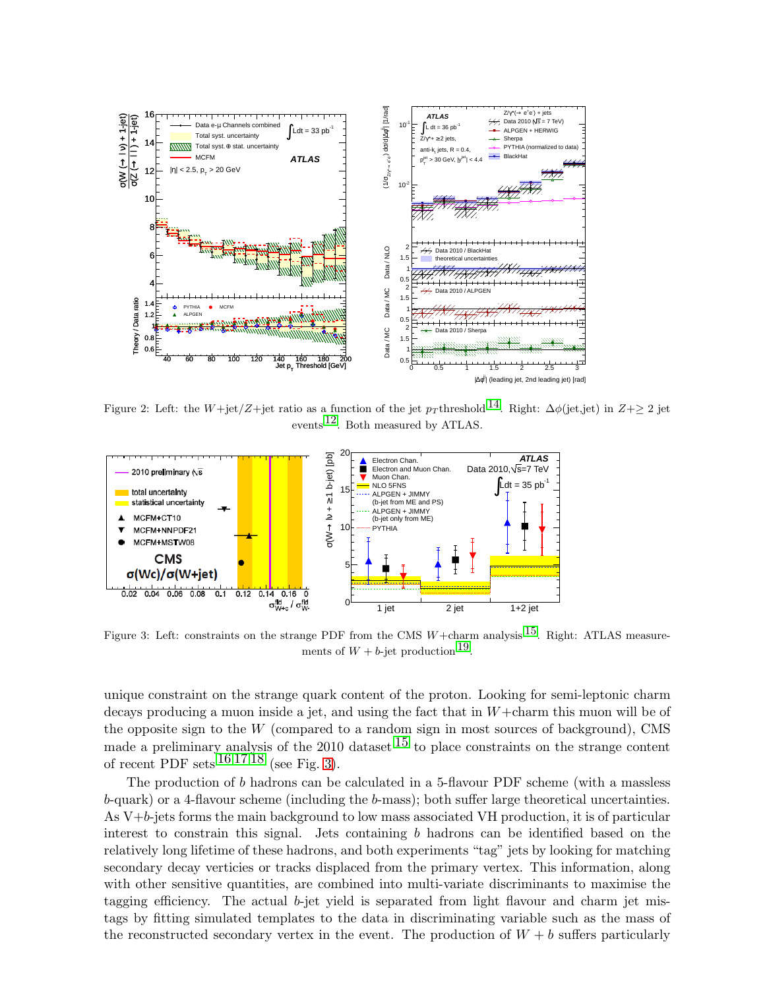

<span id="page-2-0"></span>Figure 2: Left: the W+jet/Z+jet ratio as a function of the jet  $p_T$  threshold <sup>14</sup>. Right:  $\Delta\phi$ (jet,jet) in Z+ $\geq 2$  jet events [12.](#page-3-12) Both measured by ATLAS.



<span id="page-2-1"></span>Figure 3: Left: constraints on the strange PDF from the CMS  $W+\text{charm}$  analysis  $^{15}$ . Right: ATLAS measurements of  $W + b$ -jet production  $^{19}$  $^{19}$  $^{19}$ .

unique constraint on the strange quark content of the proton. Looking for semi-leptonic charm decays producing a muon inside a jet, and using the fact that in  $W+\text{charm}$  this muon will be of the opposite sign to the  $W$  (compared to a random sign in most sources of background), CMS made a preliminary analysis of the 2010 dataset  $15$  to place constraints on the strange content of recent PDF sets  $161718$  $161718$  (see Fig. [3\)](#page-2-1).

The production of b hadrons can be calculated in a 5-flavour PDF scheme (with a massless b-quark) or a 4-flavour scheme (including the b-mass); both suffer large theoretical uncertainties. As V+b-jets forms the main background to low mass associated VH production, it is of particular interest to constrain this signal. Jets containing b hadrons can be identified based on the relatively long lifetime of these hadrons, and both experiments "tag" jets by looking for matching secondary decay verticies or tracks displaced from the primary vertex. This information, along with other sensitive quantities, are combined into multi-variate discriminants to maximise the tagging efficiency. The actual  $b$ -jet yield is separated from light flavour and charm jet mistags by fitting simulated templates to the data in discriminating variable such as the mass of the reconstructed secondary vertex in the event. The production of  $W + b$  suffers particularly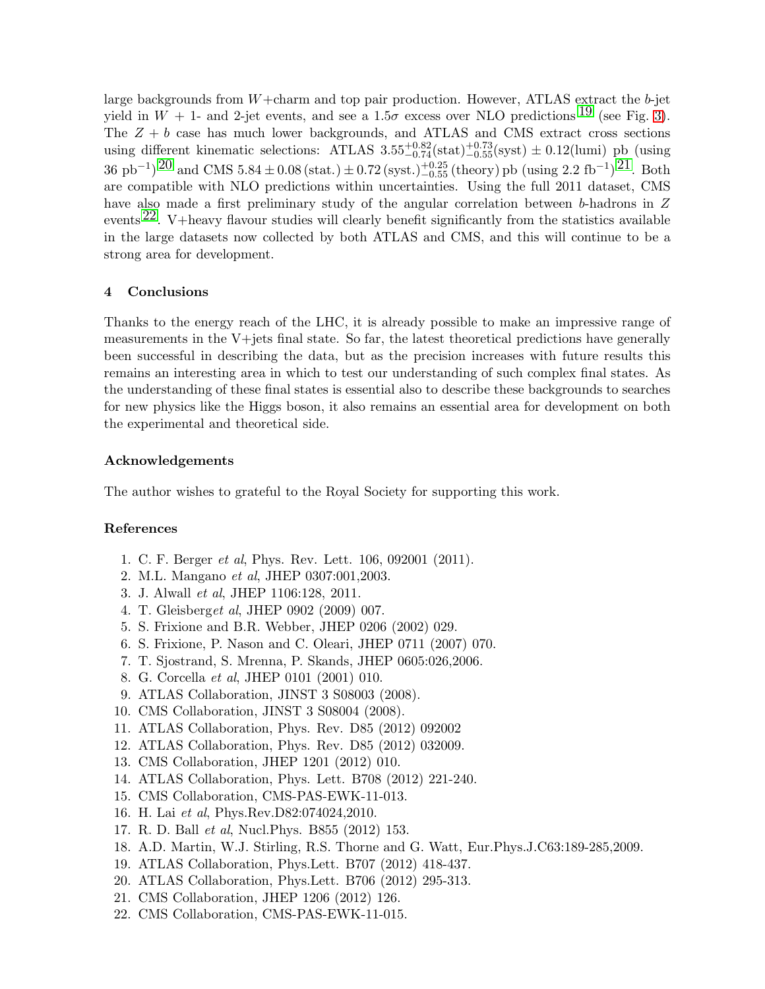large backgrounds from  $W+\text{charm}$  and top pair production. However, ATLAS extract the b-jet yield in  $W + 1$ - and 2-jet events, and see a  $1.5\sigma$  excess over NLO predictions <sup>[19](#page-3-15)</sup> (see Fig. [3\)](#page-2-1). The  $Z + b$  case has much lower backgrounds, and ATLAS and CMS extract cross sections using different kinematic selections: ATLAS  $3.55^{+0.82}_{-0.74}$  (stat) $^{+0.73}_{-0.55}$  (syst)  $\pm$  0.12(lumi) pb (using  $36 \text{ pb}^{-1}$ )  $20 \text{ and CMS } 5.84 \pm 0.08 \text{ (stat.)} \pm 0.72 \text{ (syst.)}^{+0.25}_{-0.55} \text{ (theory) pb (using 2.2 fb}^{-1}$  $20 \text{ and CMS } 5.84 \pm 0.08 \text{ (stat.)} \pm 0.72 \text{ (syst.)}^{+0.25}_{-0.55} \text{ (theory) pb (using 2.2 fb}^{-1}$ )  $21 \text{. Both}$ are compatible with NLO predictions within uncertainties. Using the full 2011 dataset, CMS have also made a first preliminary study of the angular correlation between b-hadrons in Z events  $22$ . V+heavy flavour studies will clearly benefit significantly from the statistics available in the large datasets now collected by both ATLAS and CMS, and this will continue to be a strong area for development.

# 4 Conclusions

Thanks to the energy reach of the LHC, it is already possible to make an impressive range of measurements in the V+jets final state. So far, the latest theoretical predictions have generally been successful in describing the data, but as the precision increases with future results this remains an interesting area in which to test our understanding of such complex final states. As the understanding of these final states is essential also to describe these backgrounds to searches for new physics like the Higgs boson, it also remains an essential area for development on both the experimental and theoretical side.

#### Acknowledgements

The author wishes to grateful to the Royal Society for supporting this work.

## <span id="page-3-0"></span>References

- <span id="page-3-1"></span>1. C. F. Berger et al, Phys. Rev. Lett. 106, 092001 (2011).
- <span id="page-3-2"></span>2. M.L. Mangano et al, JHEP 0307:001,2003.
- <span id="page-3-3"></span>3. J. Alwall et al, JHEP 1106:128, 2011.
- <span id="page-3-4"></span>4. T. Gleisberget al, JHEP 0902 (2009) 007.
- <span id="page-3-5"></span>5. S. Frixione and B.R. Webber, JHEP 0206 (2002) 029.
- <span id="page-3-6"></span>6. S. Frixione, P. Nason and C. Oleari, JHEP 0711 (2007) 070.
- <span id="page-3-7"></span>7. T. Sjostrand, S. Mrenna, P. Skands, JHEP 0605:026,2006.
- <span id="page-3-8"></span>8. G. Corcella et al, JHEP 0101 (2001) 010.
- <span id="page-3-9"></span>9. ATLAS Collaboration, JINST 3 S08003 (2008).
- <span id="page-3-10"></span>10. CMS Collaboration, JINST 3 S08004 (2008).
- <span id="page-3-12"></span>11. ATLAS Collaboration, Phys. Rev. D85 (2012) 092002
- <span id="page-3-11"></span>12. ATLAS Collaboration, Phys. Rev. D85 (2012) 032009.
- <span id="page-3-13"></span>13. CMS Collaboration, JHEP 1201 (2012) 010.
- <span id="page-3-14"></span>14. ATLAS Collaboration, Phys. Lett. B708 (2012) 221-240.
- <span id="page-3-16"></span>15. CMS Collaboration, CMS-PAS-EWK-11-013.
- <span id="page-3-17"></span>16. H. Lai et al, Phys.Rev.D82:074024,2010.
- <span id="page-3-18"></span>17. R. D. Ball et al, Nucl.Phys. B855 (2012) 153.
- <span id="page-3-15"></span>18. A.D. Martin, W.J. Stirling, R.S. Thorne and G. Watt, Eur.Phys.J.C63:189-285,2009.
- <span id="page-3-19"></span>19. ATLAS Collaboration, Phys.Lett. B707 (2012) 418-437.
- <span id="page-3-20"></span>20. ATLAS Collaboration, Phys.Lett. B706 (2012) 295-313.
- <span id="page-3-21"></span>21. CMS Collaboration, JHEP 1206 (2012) 126.
- 22. CMS Collaboration, CMS-PAS-EWK-11-015.